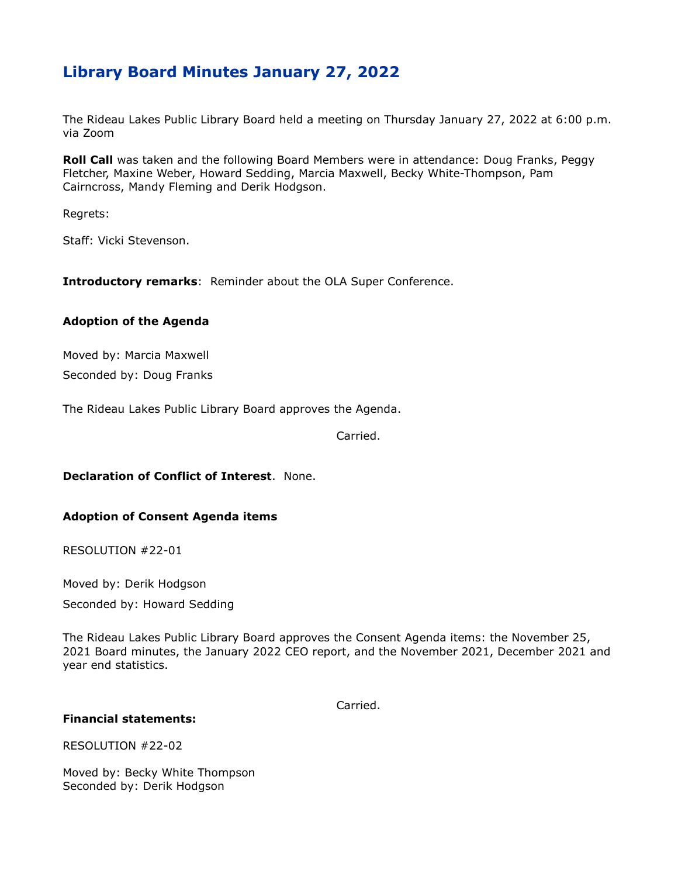# **Library Board Minutes January 27, 2022**

The Rideau Lakes Public Library Board held a meeting on Thursday January 27, 2022 at 6:00 p.m. via Zoom

**Roll Call** was taken and the following Board Members were in attendance: Doug Franks, Peggy Fletcher, Maxine Weber, Howard Sedding, Marcia Maxwell, Becky White-Thompson, Pam Cairncross, Mandy Fleming and Derik Hodgson.

Regrets:

Staff: Vicki Stevenson.

**Introductory remarks**: Reminder about the OLA Super Conference.

#### **Adoption of the Agenda**

Moved by: Marcia Maxwell

Seconded by: Doug Franks

The Rideau Lakes Public Library Board approves the Agenda.

Carried.

## **Declaration of Conflict of Interest**. None.

### **Adoption of Consent Agenda items**

RESOLUTION #22-01

Moved by: Derik Hodgson

Seconded by: Howard Sedding

The Rideau Lakes Public Library Board approves the Consent Agenda items: the November 25, 2021 Board minutes, the January 2022 CEO report, and the November 2021, December 2021 and year end statistics.

Carried.

### **Financial statements:**

RESOLUTION #22-02

Moved by: Becky White Thompson Seconded by: Derik Hodgson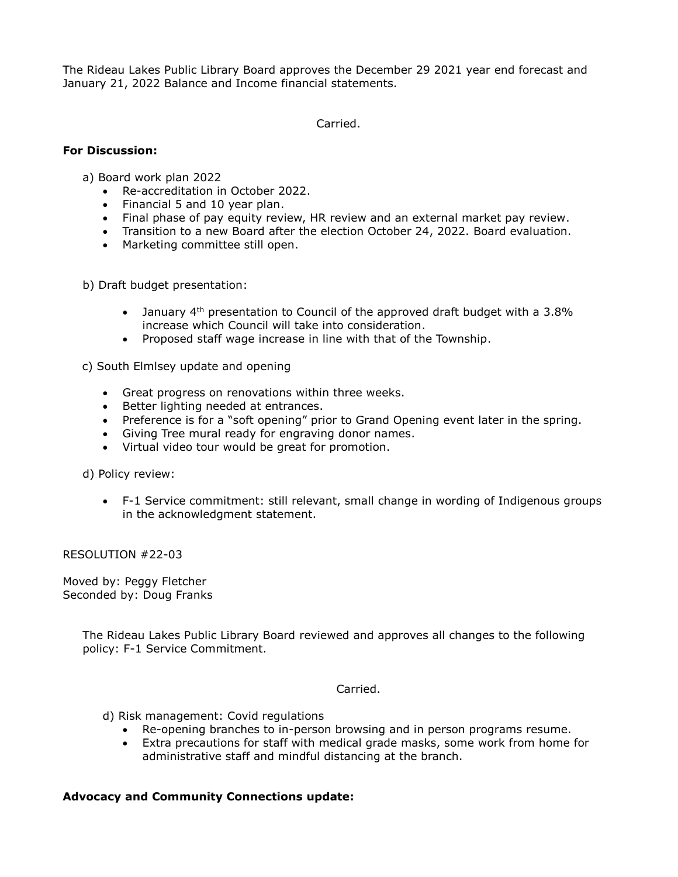The Rideau Lakes Public Library Board approves the December 29 2021 year end forecast and January 21, 2022 Balance and Income financial statements.

Carried.

### **For Discussion:**

a) Board work plan 2022

- Re-accreditation in October 2022.
- Financial 5 and 10 year plan.
- Final phase of pay equity review, HR review and an external market pay review.
- Transition to a new Board after the election October 24, 2022. Board evaluation.
- Marketing committee still open.

b) Draft budget presentation:

- January  $4<sup>th</sup>$  presentation to Council of the approved draft budget with a 3.8% increase which Council will take into consideration.
- Proposed staff wage increase in line with that of the Township.

c) South Elmlsey update and opening

- Great progress on renovations within three weeks.
- Better lighting needed at entrances.
- Preference is for a "soft opening" prior to Grand Opening event later in the spring.
- Giving Tree mural ready for engraving donor names.
- Virtual video tour would be great for promotion.

d) Policy review:

 F-1 Service commitment: still relevant, small change in wording of Indigenous groups in the acknowledgment statement.

RESOLUTION #22-03

Moved by: Peggy Fletcher Seconded by: Doug Franks

> The Rideau Lakes Public Library Board reviewed and approves all changes to the following policy: F-1 Service Commitment.

> > Carried.

d) Risk management: Covid regulations

- Re-opening branches to in-person browsing and in person programs resume.
- Extra precautions for staff with medical grade masks, some work from home for administrative staff and mindful distancing at the branch.

### **Advocacy and Community Connections update:**